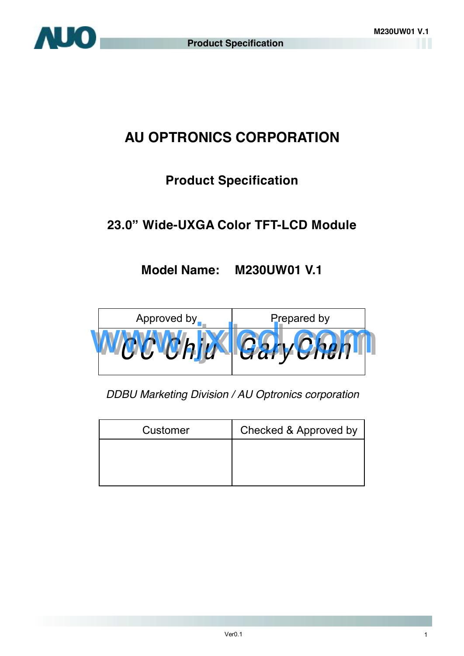

## **AU OPTRONICS CORPORATION**

## **Product Specification**

## **23.0" Wide-UXGA Color TFT-LCD Module**

## **Model Name: M230UW01 V.1**



*DDBU Marketing Division / AU Optronics corporation*

| Customer | Checked & Approved by |
|----------|-----------------------|
|          |                       |
|          |                       |
|          |                       |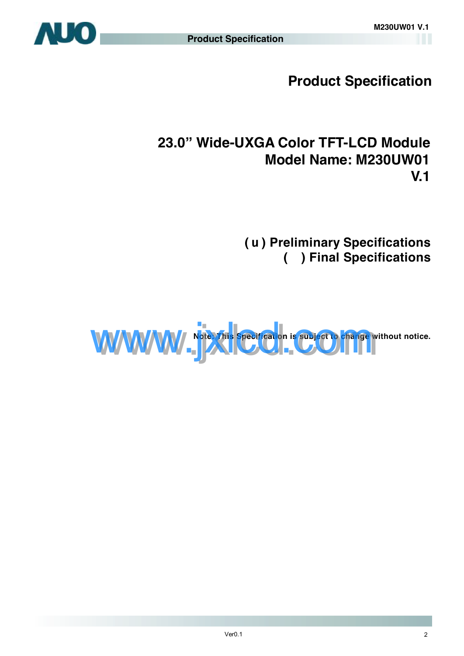

**Product Specification** 

## **23.0" Wide-UXGA Color TFT-LCD Module Model Name: M230UW01 V.1**

**(** u **) Preliminary Specifications ( ) Final Specifications** 

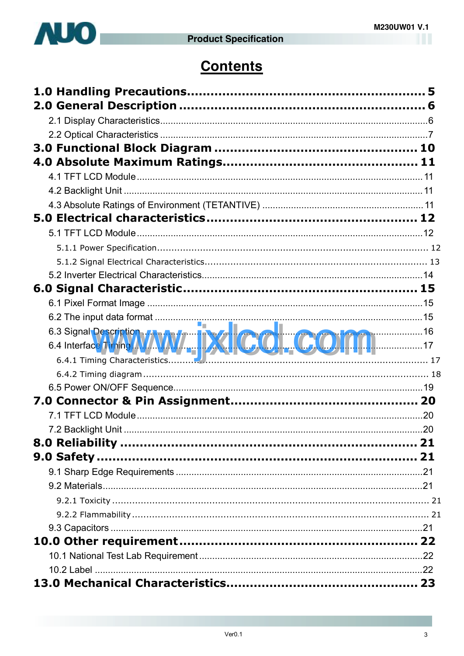

## **Contents**

| 7.2 Backlight Unit. | .20 |
|---------------------|-----|
|                     |     |
|                     |     |
|                     |     |
|                     |     |
|                     |     |
|                     |     |
|                     |     |
|                     |     |
|                     |     |
|                     |     |
|                     |     |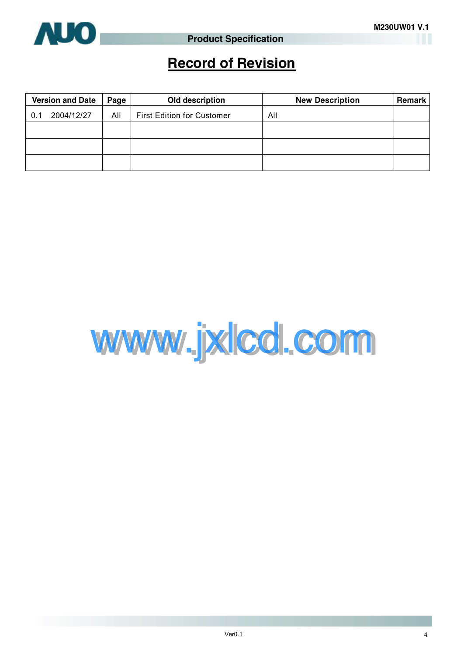

## **Record of Revision**

|     | <b>Version and Date</b> | Page | Old description                   | <b>New Description</b> | <b>Remark</b> |
|-----|-------------------------|------|-----------------------------------|------------------------|---------------|
| 0.1 | 2004/12/27              | All  | <b>First Edition for Customer</b> | All                    |               |
|     |                         |      |                                   |                        |               |
|     |                         |      |                                   |                        |               |
|     |                         |      |                                   |                        |               |

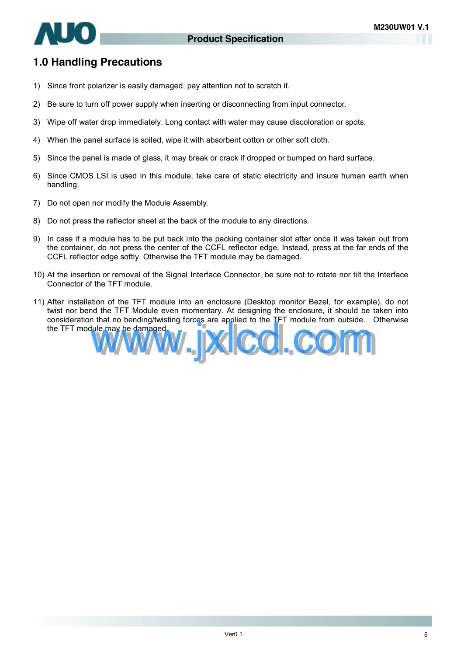

### **1.0 Handling Precautions**

- 1) Since front polarizer is easily damaged, pay attention not to scratch it.
- 2) Be sure to turn off power supply when inserting or disconnecting from input connector.
- 3) Wipe off water drop immediately. Long contact with water may cause discoloration or spots.
- 4) When the panel surface is soiled, wipe it with absorbent cotton or other soft cloth.
- 5) Since the panel is made of glass, it may break or crack if dropped or bumped on hard surface.
- 6) Since CMOS LSI is used in this module, take care of static electricity and insure human earth when handling.
- 7) Do not open nor modify the Module Assembly.
- 8) Do not press the reflector sheet at the back of the module to any directions.
- 9) In case if a module has to be put back into the packing container slot after once it was taken out from the container, do not press the center of the CCFL reflector edge. Instead, press at the far ends of the CCFL reflector edge softly. Otherwise the TFT module may be damaged.
- 10) At the insertion or removal of the Signal Interface Connector, be sure not to rotate nor tilt the Interface Connector of the TFT module.
- 11) After installation of the TFT module into an enclosure (Desktop monitor Bezel, for example), do not twist nor bend the TFT Module even momentary. At designing the enclosure, it should be taken into consideration that no bending/twisting forces are applied to the TFT module from outside. Otherwise the TFT module may be damaged.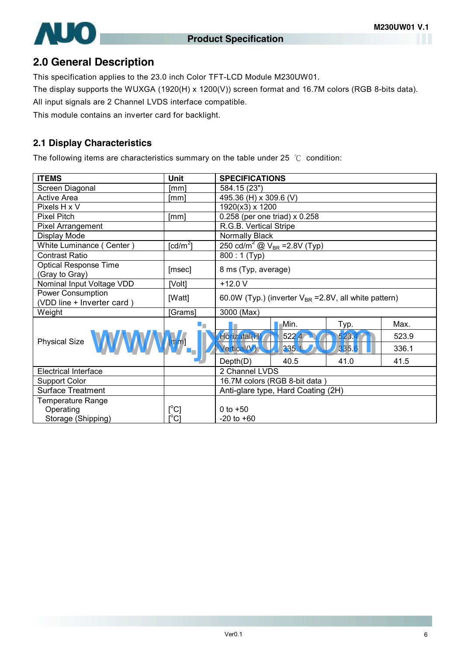

### **2.0 General Description**

This specification applies to the 23.0 inch Color TFT-LCD Module M230UW01.

The display supports the WUXGA (1920(H) x 1200(V)) screen format and 16.7M colors (RGB 8-bits data).

All input signals are 2 Channel LVDS interface compatible.

This module contains an inverter card for backlight.

#### **2.1 Display Characteristics**

The following items are characteristics summary on the table under 25 ℃ condition:

| <b>ITEMS</b>                                    | <b>Unit</b>                         | <b>SPECIFICATIONS</b>                                                |       |       |       |
|-------------------------------------------------|-------------------------------------|----------------------------------------------------------------------|-------|-------|-------|
| Screen Diagonal                                 | [mm]                                | 584.15 (23")                                                         |       |       |       |
| <b>Active Area</b>                              | [mm]                                | 495.36 (H) x 309.6 (V)                                               |       |       |       |
| Pixels H x V                                    |                                     | 1920(x3) x 1200                                                      |       |       |       |
| <b>Pixel Pitch</b>                              | [mm]                                | 0.258 (per one triad) x 0.258                                        |       |       |       |
| Pixel Arrangement                               |                                     | R.G.B. Vertical Stripe                                               |       |       |       |
| Display Mode                                    |                                     | Normally Black                                                       |       |       |       |
| White Luminance (Center)                        | $\lceil$ cd/m <sup>2</sup> $\rceil$ | 250 cd/m <sup>2</sup> $\textcircled{2}$ V <sub>BR</sub> = 2.8V (Typ) |       |       |       |
| <b>Contrast Ratio</b>                           |                                     | $\overline{800}$ : 1 (Typ)                                           |       |       |       |
| <b>Optical Response Time</b><br>(Gray to Gray)  | [msec]                              | 8 ms (Typ, average)                                                  |       |       |       |
| Nominal Input Voltage VDD                       | [Volt]                              | $+12.0V$                                                             |       |       |       |
| Power Consumption<br>(VDD line + Inverter card) | [Watt]                              | 60.0W (Typ.) (inverter $V_{BR}$ =2.8V, all white pattern)            |       |       |       |
| Weight                                          | [Grams]                             | 3000 (Max)                                                           |       |       |       |
|                                                 | ۰.                                  |                                                                      | Min.  | Typ.  | Max.  |
| Physical Size WWWWWW                            |                                     | Horizatai(H                                                          | 522.4 | 523.  | 523.9 |
|                                                 |                                     | <b>Vertical(V)</b>                                                   | 335.1 | 335.6 | 336.1 |
|                                                 |                                     | Depth(D)                                                             | 40.5  | 41.0  | 41.5  |
| <b>Electrical Interface</b>                     |                                     | 2 Channel LVDS                                                       |       |       |       |
| <b>Support Color</b>                            |                                     | 16.7M colors (RGB 8-bit data)                                        |       |       |       |
| <b>Surface Treatment</b>                        |                                     | Anti-glare type, Hard Coating (2H)                                   |       |       |       |
| <b>Temperature Range</b>                        |                                     |                                                                      |       |       |       |
| Operating                                       | $[^{\circ}C]$                       | 0 to $+50$                                                           |       |       |       |
| Storage (Shipping)                              | $\rm \lceil ^{\circ}C\rceil$        | $-20$ to $+60$                                                       |       |       |       |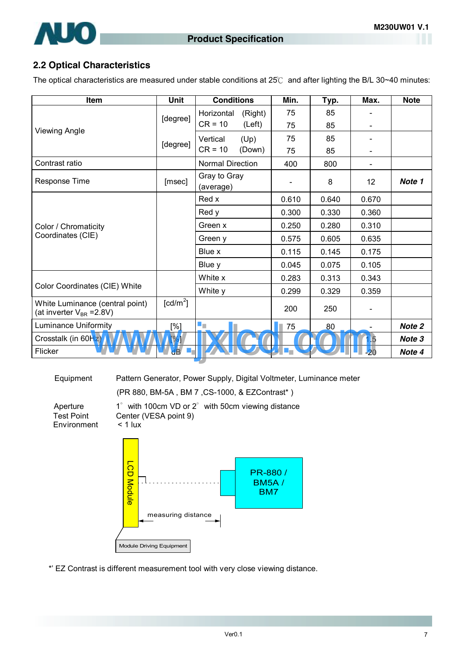

#### **2.2 Optical Characteristics**

The optical characteristics are measured under stable conditions at 25℃ and after lighting the B/L 30~40 minutes:

| Item                                                               | <b>Unit</b>            | <b>Conditions</b>         | Min.  | Typ.  | Max.                         | <b>Note</b> |
|--------------------------------------------------------------------|------------------------|---------------------------|-------|-------|------------------------------|-------------|
|                                                                    |                        | Horizontal<br>(Right)     | 75    | 85    |                              |             |
| <b>Viewing Angle</b>                                               | [degree]               | $CR = 10$<br>(Left)       | 75    | 85    | $\blacksquare$               |             |
|                                                                    |                        | Vertical<br>(Up)          | 75    | 85    | ۰                            |             |
|                                                                    | [degree]               | $CR = 10$<br>(Down)       | 75    | 85    | $\qquad \qquad \blacksquare$ |             |
| Contrast ratio                                                     |                        | Normal Direction          | 400   | 800   |                              |             |
| Response Time                                                      | [msec]                 | Gray to Gray<br>(average) |       | 8     | 12 <sup>2</sup>              | Note 1      |
|                                                                    |                        | Red x                     | 0.610 | 0.640 | 0.670                        |             |
|                                                                    |                        | Red y                     | 0.300 | 0.330 | 0.360                        |             |
| Color / Chromaticity                                               |                        | Green x                   | 0.250 | 0.280 | 0.310                        |             |
| Coordinates (CIE)                                                  |                        | Green y                   | 0.575 | 0.605 | 0.635                        |             |
|                                                                    |                        | Blue x                    | 0.115 | 0.145 | 0.175                        |             |
|                                                                    |                        | Blue y                    | 0.045 | 0.075 | 0.105                        |             |
|                                                                    |                        | White x                   | 0.283 | 0.313 | 0.343                        |             |
| Color Coordinates (CIE) White                                      |                        | White y                   | 0.299 | 0.329 | 0.359                        |             |
| White Luminance (central point)<br>(at inverter $V_{BR} = 2.8 V$ ) | $\lceil cd/m^2 \rceil$ |                           | 200   | 250   | $\blacksquare$               |             |
| <b>Luminance Uniformity</b>                                        | [%]                    | $\blacksquare$            | 75    | 80    | $\overline{\phantom{a}}$     | Note 2      |
| Crosstalk (in 60Hz)                                                | [%]                    |                           |       |       | .5                           | Note 3      |
| Flicker                                                            | dB                     |                           | a pr  |       | 20                           | Note 4      |

Equipment Pattern Generator, Power Supply, Digital Voltmeter, Luminance meter (PR 880, BM-5A , BM 7 ,CS-1000, & EZContrast\* )

**Environment** 





\*' EZ Contrast is different measurement tool with very close viewing distance.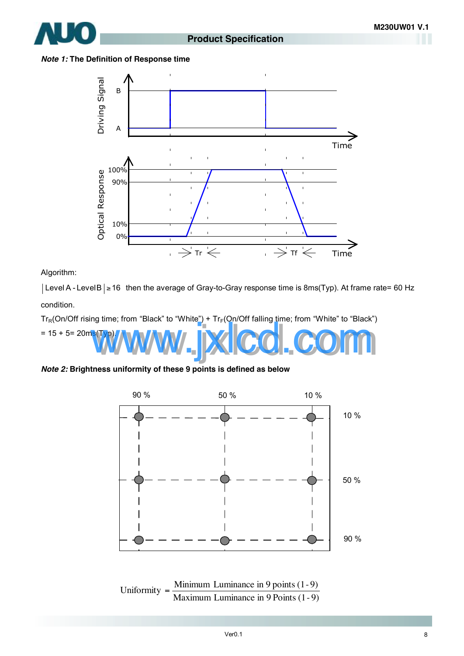

#### *Note 1:* **The Definition of Response time**



Algorithm:

| Level A - Level B | ≥ 16 then the average of Gray-to-Gray response time is 8ms(Typ). At frame rate= 60 Hz condition.

 $Tr_R(On/Off$  rising time; from "Black" to "White") +  $Tr_F(On/Off$  falling time; from "White" to "Black")



*Note 2:* **Brightness uniformity of these 9 points is defined as below** 



Maximum Luminance in 9 Points (1-9) Uniformity  $=$  Minimum Luminance in 9 points  $(1-9)$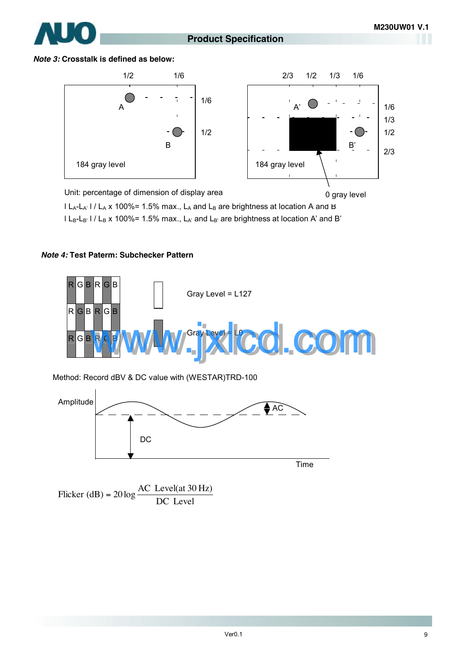

#### **Product Specification**









 $|L_A-L_{A'}|/L_A \times 100\%$  = 1.5% max.,  $L_A$  and  $L_B$  are brightness at location A and B l L<sub>B</sub>-L<sub>B'</sub> l / L<sub>B</sub> x 100%= 1.5% max., L<sub>A'</sub> and L<sub>B'</sub> are brightness at location A' and B'

#### *Note 4:* **Test Paterm: Subchecker Pattern**



Method: Record dBV & DC value with (WESTAR)TRD-100



Flicker (dB) =  $20 \log \frac{1000 \text{ J/C}}{DC}$  Level Flicker (dB) =  $20 \log \frac{AC \text{ Level(at 30 Hz)}}{DG \text{ L}}$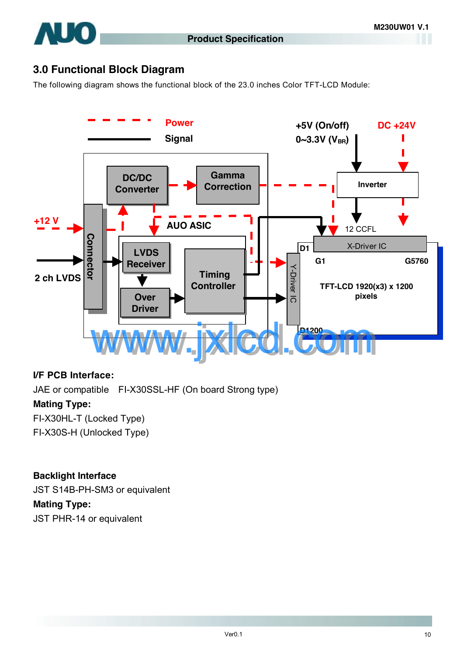

## **3.0 Functional Block Diagram**

The following diagram shows the functional block of the 23.0 inches Color TFT-LCD Module:



#### **I/F PCB Interface:**

JAE or compatible FI-X30SSL-HF (On board Strong type) **Mating Type:**  FI-X30HL-T (Locked Type) FI-X30S-H (Unlocked Type)

#### **Backlight Interface**

JST S14B-PH-SM3 or equivalent

#### **Mating Type:**

JST PHR-14 or equivalent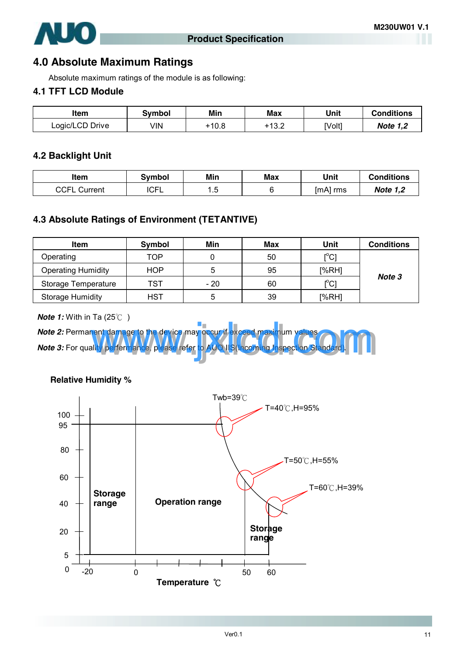

### **4.0 Absolute Maximum Ratings**

Absolute maximum ratings of the module is as following:

### **4.1 TFT LCD Module**

| ltem            | Svmbol | Min   | Max   | Unit   | <b>Conditions</b> |
|-----------------|--------|-------|-------|--------|-------------------|
| Logic/LCD Drive | √IN    | +10.8 | 13.2- | [Volt] | <b>Note 1,2</b>   |

#### **4.2 Backlight Unit**

| ltem                         | Symbol | Min  | <b>Max</b> | Unit     | Conditions      |
|------------------------------|--------|------|------------|----------|-----------------|
| <b>CCEL</b><br>Current<br>υ∪ | ICFL   | ں. ، |            | [mA] rms | <b>Note 1,2</b> |

### **4.3 Absolute Ratings of Environment (TETANTIVE)**

| <b>Item</b>               | Symbol | Min   | Max | Unit                                    | <b>Conditions</b> |
|---------------------------|--------|-------|-----|-----------------------------------------|-------------------|
| Operating                 | TOP    |       | 50  | $\mathsf{I}^\circ\mathsf{C} \mathsf{I}$ |                   |
| <b>Operating Humidity</b> | HOP    | 5     | 95  | [%RH]                                   |                   |
| Storage Temperature       | TST    | $-20$ | 60  | $\mathsf{C}^{\circ}$                    | Note 3            |
| <b>Storage Humidity</b>   | HST    | 5     | 39  | [%RH]                                   |                   |

*Note 1:* With in Ta (25℃)





**Relative Humidity %**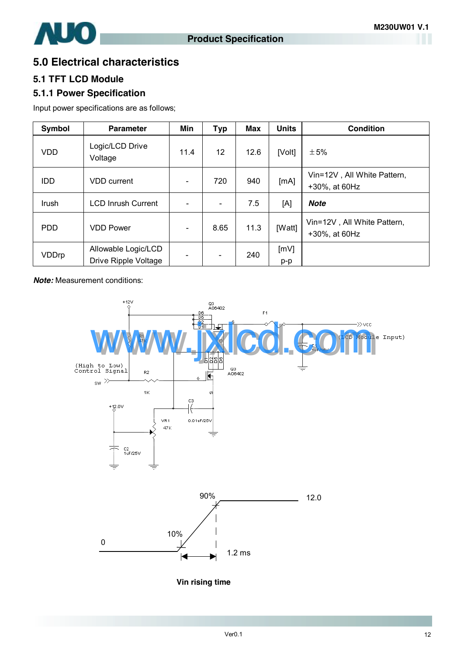

### **5.0 Electrical characteristics**

### **5.1 TFT LCD Module**

### **5.1.1 Power Specification**

Input power specifications are as follows;

| Symbol     | <b>Parameter</b>                            | <b>Min</b>                   | <b>Typ</b>               | Max  | <b>Units</b> | <b>Condition</b>                             |
|------------|---------------------------------------------|------------------------------|--------------------------|------|--------------|----------------------------------------------|
| <b>VDD</b> | Logic/LCD Drive<br>Voltage                  | 11.4                         | 12                       | 12.6 | [Volt]       | ±5%                                          |
| <b>IDD</b> | <b>VDD</b> current                          |                              | 720                      | 940  | [mA]         | Vin=12V, All White Pattern,<br>+30%, at 60Hz |
| Irush      | <b>LCD Inrush Current</b>                   |                              | $\overline{\phantom{a}}$ | 7.5  | [A]          | <b>Note</b>                                  |
| <b>PDD</b> | <b>VDD Power</b>                            | $\qquad \qquad \blacksquare$ | 8.65                     | 11.3 | [Watt]       | Vin=12V, All White Pattern,<br>+30%, at 60Hz |
| VDDrp      | Allowable Logic/LCD<br>Drive Ripple Voltage |                              | $\frac{1}{2}$            | 240  | [mV]<br>p-p  |                                              |

*Note:* Measurement conditions:



**Vin rising time**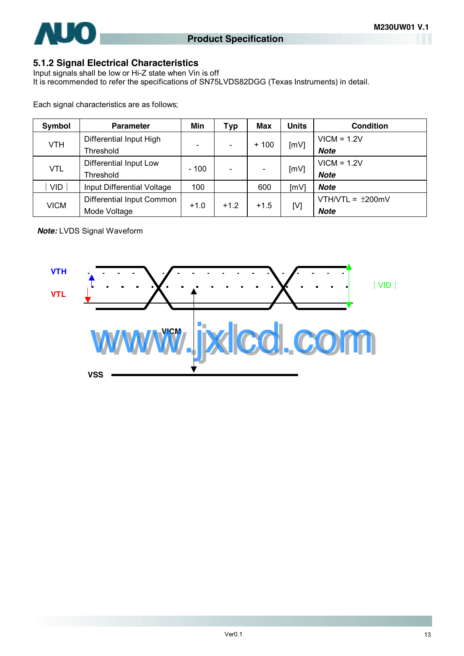

### **5.1.2 Signal Electrical Characteristics**

Input signals shall be low or Hi-Z state when Vin is off It is recommended to refer the specifications of SN75LVDS82DGG (Texas Instruments) in detail.

Each signal characteristics are as follows;

| Symbol      | <b>Parameter</b>           | Min    | Typ    | Max    | <b>Units</b> | <b>Condition</b>       |               |
|-------------|----------------------------|--------|--------|--------|--------------|------------------------|---------------|
|             | Differential Input High    |        |        | $+100$ | [mV]         | $VICM = 1.2V$          |               |
| <b>VTH</b>  | Threshold                  |        |        |        |              | <b>Note</b>            |               |
|             | Differential Input Low     |        |        |        |              |                        | $VICM = 1.2V$ |
| <b>VTL</b>  | Threshold                  | $-100$ |        |        | [mV]         | <b>Note</b>            |               |
| VID         | Input Differential Voltage | 100    |        | 600    | [mV]         | Note                   |               |
| <b>VICM</b> | Differential Input Common  |        |        | $+1.5$ |              | VTH/VTL = $\pm 200$ mV |               |
|             | Mode Voltage               | $+1.0$ | $+1.2$ |        | [V]          | <b>Note</b>            |               |

*Note:* LVDS Signal Waveform

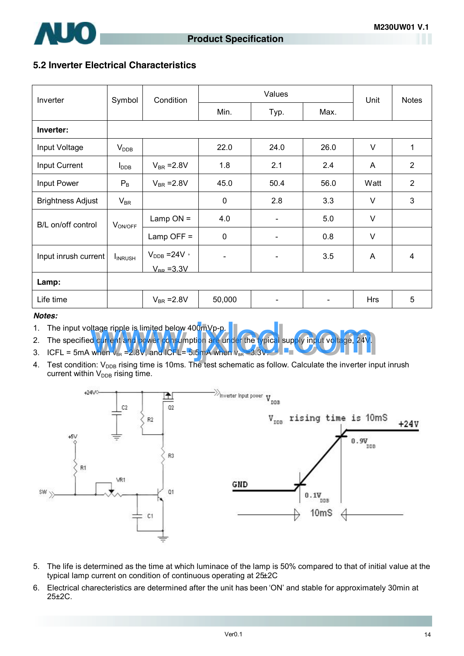

#### **5.2 Inverter Electrical Characteristics**

| Inverter                 | Symbol              | Condition                |                | Values                   | Unit | <b>Notes</b> |                |
|--------------------------|---------------------|--------------------------|----------------|--------------------------|------|--------------|----------------|
|                          |                     |                          | Min.           | Typ.                     | Max. |              |                |
| Inverter:                |                     |                          |                |                          |      |              |                |
| Input Voltage            | $V_{\text{DDB}}$    |                          | 22.0           | 24.0                     | 26.0 | $\vee$       | 1              |
| Input Current            | $I_{\text{DDB}}$    | $V_{BR} = 2.8V$          | 1.8            | 2.1                      | 2.4  | A            | 2              |
| Input Power              | $P_{B}$             | $V_{BR} = 2.8V$          | 45.0           | 50.4                     | 56.0 | Watt         | 2              |
| <b>Brightness Adjust</b> | $V_{\sf BR}$        |                          | $\mathbf 0$    | 2.8                      | 3.3  | $\vee$       | 3              |
| B/L on/off control       | V <sub>ON/OFF</sub> | Lamp $ON =$              | 4.0            | $\overline{\phantom{a}}$ | 5.0  | $\vee$       |                |
|                          |                     | Lamp OFF $=$             | 0              |                          | 0.8  | $\vee$       |                |
| Input inrush current     | <b>I</b> INRUSH     | $V_{\text{DDB}} = 24V$ , | $\blacksquare$ | $\overline{\phantom{a}}$ | 3.5  | A            | $\overline{4}$ |
|                          |                     | $V_{BR} = 3.3V$          |                |                          |      |              |                |
| Lamp:                    |                     |                          |                |                          |      |              |                |
| Life time                |                     | $V_{BR} = 2.8V$          | 50,000         |                          |      | <b>Hrs</b>   | 5              |

#### *Notes:*

- 1. The input voltage ripple is limited below 400mVp-p.
- 2. The specified current and power consumption are under the typical supply input voltage, 24V. Itage ripple is limited below 400mVp-p.<br>d current and power consumption are under the typical supply input voltage, 24V<br>when v<sub>ex</sub> =2.8V, and ICFL= 5.5mA when v<sub>ex</sub> =3.3V.
- 3. ICFL = 5mA when  $v_{BR} = 2.8V$ , and ICFL= 5.5mA when  $v_{BR} = 3.3V$ .
- 4. Test condition: V<sub>DDB</sub> rising time is 10ms. The test schematic as follow. Calculate the inverter input inrush current within  $V_{\text{DDB}}$  rising time.



- 5. The life is determined as the time at which luminace of the lamp is 50% compared to that of initial value at the typical lamp current on condition of continuous operating at 25±2C
- 6. Electrical charecteristics are determined after the unit has been 'ON' and stable for approximately 30min at 25±2C.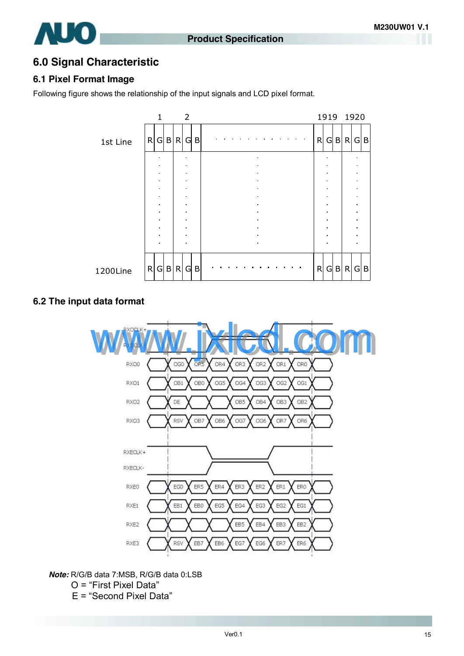

### **6.0 Signal Characteristic**

#### **6.1 Pixel Format Image**

Following figure shows the relationship of the input signals and LCD pixel format.



#### **6.2 The input data format**



*Note:* R/G/B data 7:MSB, R/G/B data 0:LSB

- O = "First Pixel Data"
- E = "Second Pixel Data"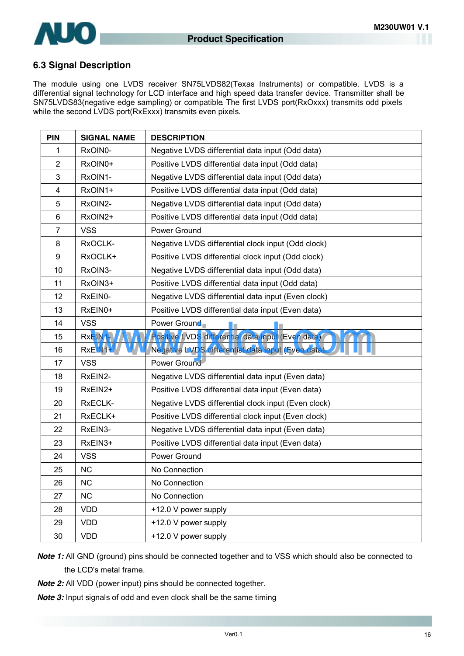

#### **6.3 Signal Description**

The module using one LVDS receiver SN75LVDS82(Texas Instruments) or compatible. LVDS is a differential signal technology for LCD interface and high speed data transfer device. Transmitter shall be SN75LVDS83(negative edge sampling) or compatible**.** The first LVDS port(RxOxxx) transmits odd pixels while the second LVDS port(RxExxx) transmits even pixels.

| <b>PIN</b>     | <b>SIGNAL NAME</b> | <b>DESCRIPTION</b>                                  |
|----------------|--------------------|-----------------------------------------------------|
| 1              | RxOIN0-            | Negative LVDS differential data input (Odd data)    |
| $\overline{2}$ | RxOIN0+            | Positive LVDS differential data input (Odd data)    |
| 3              | RxOIN1-            | Negative LVDS differential data input (Odd data)    |
| 4              | RxOIN1+            | Positive LVDS differential data input (Odd data)    |
| 5              | RxOIN2-            | Negative LVDS differential data input (Odd data)    |
| 6              | RxOIN2+            | Positive LVDS differential data input (Odd data)    |
| $\overline{7}$ | <b>VSS</b>         | Power Ground                                        |
| 8              | RxOCLK-            | Negative LVDS differential clock input (Odd clock)  |
| 9              | RxOCLK+            | Positive LVDS differential clock input (Odd clock)  |
| 10             | RxOIN3-            | Negative LVDS differential data input (Odd data)    |
| 11             | RxOIN3+            | Positive LVDS differential data input (Odd data)    |
| 12             | RxEIN0-            | Negative LVDS differential data input (Even clock)  |
| 13             | RxEIN0+            | Positive LVDS differential data input (Even data)   |
| 14             | <b>VSS</b>         | Power Ground                                        |
| 15             | RxEIN <sub>1</sub> | Positive LVDS differential data input (Even data)   |
| 16             | RxEIN <sub>1</sub> | Negative LVDS differential data input (Even data)   |
| 17             | <b>VSS</b>         | Power Ground                                        |
| 18             | RxEIN2-            | Negative LVDS differential data input (Even data)   |
| 19             | RxEIN2+            | Positive LVDS differential data input (Even data)   |
| 20             | RxECLK-            | Negative LVDS differential clock input (Even clock) |
| 21             | RxECLK+            | Positive LVDS differential clock input (Even clock) |
| 22             | RxEIN3-            | Negative LVDS differential data input (Even data)   |
| 23             | RxEIN3+            | Positive LVDS differential data input (Even data)   |
| 24             | <b>VSS</b>         | Power Ground                                        |
| 25             | <b>NC</b>          | No Connection                                       |
| 26             | <b>NC</b>          | No Connection                                       |
| 27             | <b>NC</b>          | No Connection                                       |
| 28             | <b>VDD</b>         | +12.0 V power supply                                |
| 29             | <b>VDD</b>         | +12.0 V power supply                                |
| 30             | <b>VDD</b>         | +12.0 V power supply                                |

*Note 1:* All GND (ground) pins should be connected together and to VSS which should also be connected to the LCD's metal frame.

*Note 2:* All VDD (power input) pins should be connected together.

*Note 3:* Input signals of odd and even clock shall be the same timing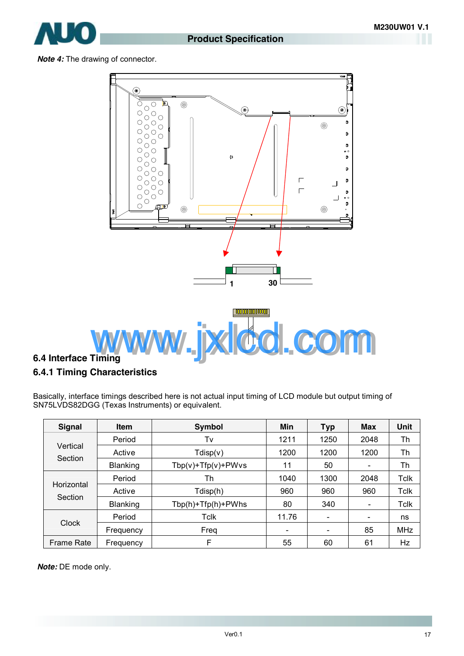

*Note 4:* The drawing of connector.



### **6.4 Interface Timing**

#### **6.4.1 Timing Characteristics**

Basically, interface timings described here is not actual input timing of LCD module but output timing of SN75LVDS82DGG (Texas Instruments) or equivalent.

| <b>Signal</b>         | <b>Item</b> | Symbol                   | Min                          | <b>Typ</b>               | <b>Max</b>                   | <b>Unit</b> |
|-----------------------|-------------|--------------------------|------------------------------|--------------------------|------------------------------|-------------|
| Vertical<br>Section   | Period      | Tv                       | 1211                         | 1250                     | 2048                         | Th          |
|                       | Active      | Tdisp(v)                 | 1200                         | 1200                     | 1200                         | Th          |
|                       | Blanking    | $Tbp(v) + Tfp(v) + PWvs$ | 11                           | 50                       | $\overline{\phantom{a}}$     | Th          |
| Horizontal<br>Section | Period      | Th                       | 1040                         | 1300                     | 2048                         | <b>Tclk</b> |
|                       | Active      | Tdisp(h)                 | 960                          | 960                      | 960                          | <b>Tclk</b> |
|                       | Blanking    | Tbp(h)+Tfp(h)+PWhs       | 80                           | 340                      | $\overline{\phantom{a}}$     | <b>Tclk</b> |
| Clock                 | Period      | Tclk                     | 11.76                        | $\overline{\phantom{a}}$ | $\qquad \qquad \blacksquare$ | ns          |
|                       | Frequency   | Freq                     | $\qquad \qquad \blacksquare$ | $\overline{\phantom{a}}$ | 85                           | <b>MHz</b>  |
| Frame Rate            | Frequency   | F                        | 55                           | 60                       | 61                           | Hz          |

*Note:* DE mode only.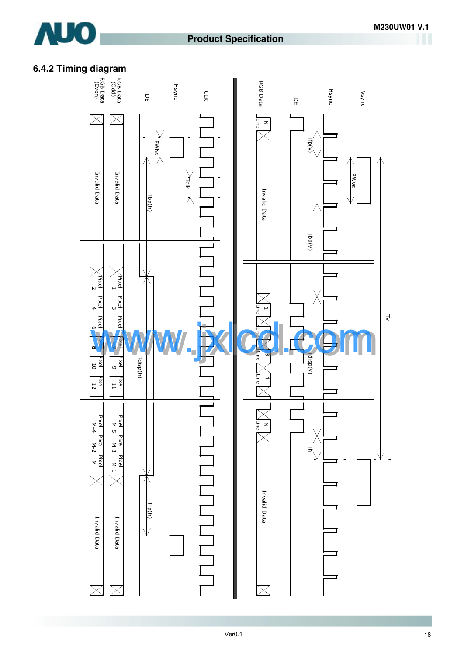

### **Product Specification**

### **6.4.2 Timing diagram**

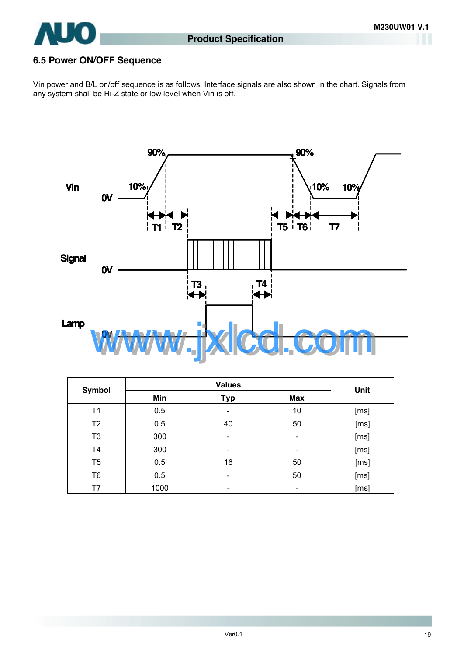

### **6.5 Power ON/OFF Sequence**

Vin power and B/L on/off sequence is as follows. Interface signals are also shown in the chart. Signals from any system shall be Hi-Z state or low level when Vin is off.



| Symbol         | <b>Values</b> |                          |                          | Unit |  |
|----------------|---------------|--------------------------|--------------------------|------|--|
|                | Min           | <b>Typ</b>               | <b>Max</b>               |      |  |
| Τ1             | 0.5           | $\overline{\phantom{0}}$ | 10                       | [ms] |  |
| T <sub>2</sub> | 0.5           | 40                       | 50                       | [ms] |  |
| T <sub>3</sub> | 300           |                          | $\overline{\phantom{a}}$ | [ms] |  |
| T <sub>4</sub> | 300           |                          | -                        | [ms] |  |
| T <sub>5</sub> | 0.5           | 16                       | 50                       | [ms] |  |
| T <sub>6</sub> | 0.5           |                          | 50                       | [ms] |  |
| Τ7             | 1000          |                          |                          | [ms] |  |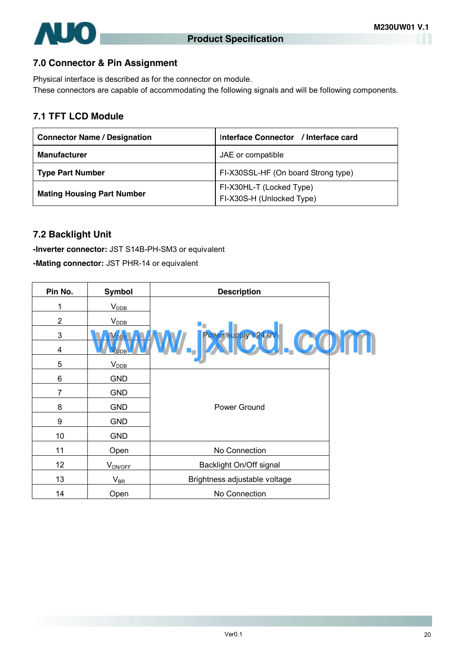

### **7.0 Connector & Pin Assignment**

Physical interface is described as for the connector on module. These connectors are capable of accommodating the following signals and will be following components.

### **7.1 TFT LCD Module**

| <b>Connector Name / Designation</b> | Interface Connector / Interface card                  |  |  |
|-------------------------------------|-------------------------------------------------------|--|--|
| <b>Manufacturer</b>                 | JAE or compatible                                     |  |  |
| <b>Type Part Number</b>             | FI-X30SSL-HF (On board Strong type)                   |  |  |
| <b>Mating Housing Part Number</b>   | FI-X30HL-T (Locked Type)<br>FI-X30S-H (Unlocked Type) |  |  |

### **7.2 Backlight Unit**

**-Inverter connector:** JST S14B-PH-SM3 or equivalent

**-Mating connector:** JST PHR-14 or equivalent

| Pin No.        | <b>Symbol</b>    | <b>Description</b>            |  |
|----------------|------------------|-------------------------------|--|
| 1              | $V_{\rm DDB}$    |                               |  |
| $\overline{2}$ | $V_{\text{DDB}}$ |                               |  |
| 3              |                  |                               |  |
| 4              |                  | W. Exterpreted COM            |  |
| 5              | V <sub>DB</sub>  |                               |  |
| 6              | <b>GND</b>       |                               |  |
| 7              | <b>GND</b>       |                               |  |
| 8              | <b>GND</b>       | Power Ground                  |  |
| 9              | <b>GND</b>       |                               |  |
| 10             | <b>GND</b>       |                               |  |
| 11             | Open             | No Connection                 |  |
| 12             | $V_{ON/OFF}$     | Backlight On/Off signal       |  |
| 13             | $V_{BR}$         | Brightness adjustable voltage |  |
| 14             | Open             | No Connection                 |  |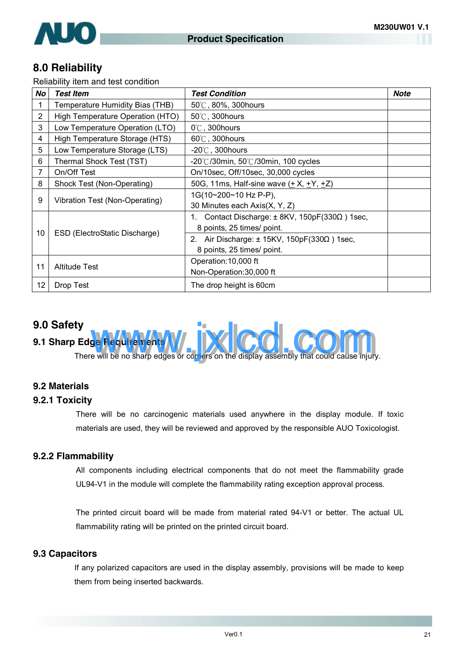

### **8.0 Reliability**

Reliability item and test condition

| No | <b>Test Item</b>                 | <b>Test Condition</b>                                          | Note |
|----|----------------------------------|----------------------------------------------------------------|------|
|    | Temperature Humidity Bias (THB)  | 50°C, 80%, 300hours                                            |      |
| 2  | High Temperature Operation (HTO) | $50^{\circ}$ C, 300 hours                                      |      |
| 3  | Low Temperature Operation (LTO)  | $0^\circ$ C, 300 hours                                         |      |
| 4  | High Temperature Storage (HTS)   | $60^{\circ}$ C, 300 hours                                      |      |
| 5  | Low Temperature Storage (LTS)    | -20 $\degree$ C, 300hours                                      |      |
| 6  | Thermal Shock Test (TST)         | $-20^{\circ}$ C/30min, 50 $^{\circ}$ C/30min, 100 cycles       |      |
| 7  | On/Off Test                      | On/10sec, Off/10sec, 30,000 cycles                             |      |
| 8  | Shock Test (Non-Operating)       | 50G, 11ms, Half-sine wave (+ X, +Y, +Z)                        |      |
| 9  | Vibration Test (Non-Operating)   | 1G(10~200~10 Hz P-P),                                          |      |
|    |                                  | 30 Minutes each Axis(X, Y, Z)                                  |      |
| 10 | ESD (ElectroStatic Discharge)    | Contact Discharge: $\pm$ 8KV, 150pF(330 $\Omega$ ) 1sec,<br>1. |      |
|    |                                  | 8 points, 25 times/ point.                                     |      |
|    |                                  | Air Discharge: $\pm$ 15KV, 150pF(330 $\Omega$ ) 1sec,<br>2.    |      |
|    |                                  | 8 points, 25 times/ point.                                     |      |
| 11 | <b>Altitude Test</b>             | Operation: 10,000 ft                                           |      |
|    |                                  | Non-Operation: 30,000 ft                                       |      |
| 12 | Drop Test                        | The drop height is 60cm                                        |      |

### **9.0 Safety**

# **9.1 Sharp Edge Requirem** There will be no sharp edges or comers on the display assembly that could cause injury.

#### **9.2 Materials**

### **9.2.1 Toxicity**

There will be no carcinogenic materials used anywhere in the display module. If toxic materials are used, they will be reviewed and approved by the responsible AUO Toxicologist.

#### **9.2.2 Flammability**

All components including electrical components that do not meet the flammability grade UL94-V1 in the module will complete the flammability rating exception approval process.

The printed circuit board will be made from material rated 94-V1 or better. The actual UL flammability rating will be printed on the printed circuit board.

#### **9.3 Capacitors**

If any polarized capacitors are used in the display assembly, provisions will be made to keep them from being inserted backwards.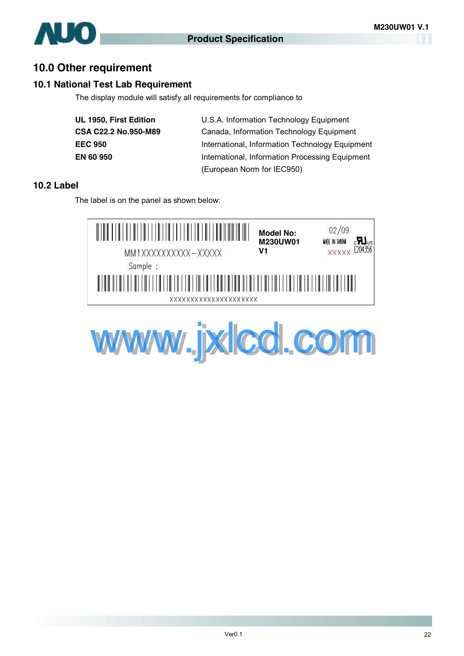

### **10.0 Other requirement**

#### **10.1 National Test Lab Requirement**

The display module will satisfy all requirements for compliance to

| UL 1950, First Edition | U.S.A. Information Technology Equipment         |
|------------------------|-------------------------------------------------|
| CSA C22.2 No.950-M89   | Canada, Information Technology Equipment        |
| <b>EEC 950</b>         | International, Information Technology Equipment |
| <b>EN 60 950</b>       | International, Information Processing Equipment |
|                        | (European Norm for IEC950)                      |

#### **10.2 Label**

The label is on the panel as shown below:



www.jxlcd.com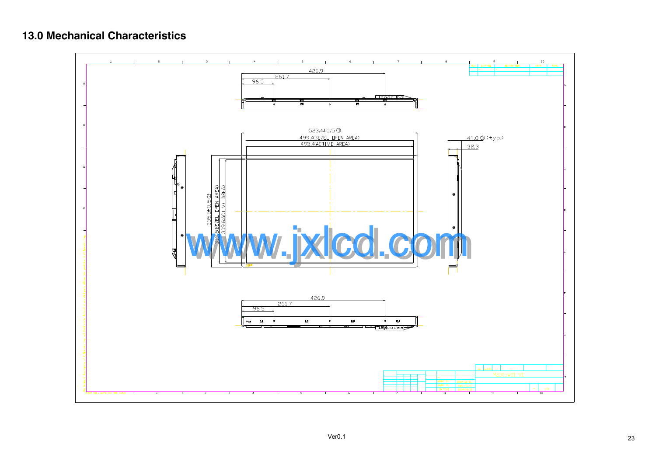

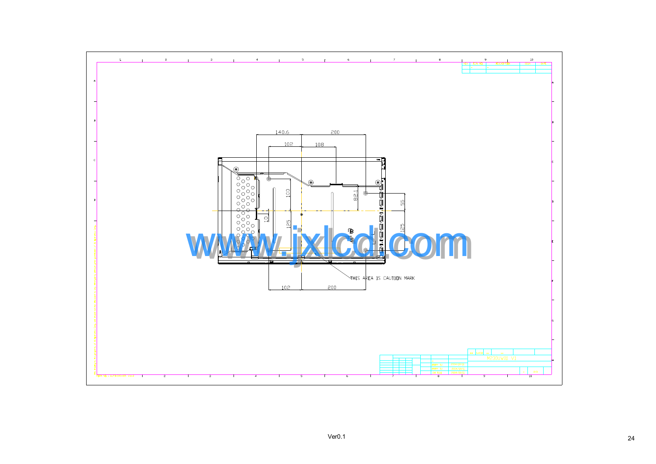